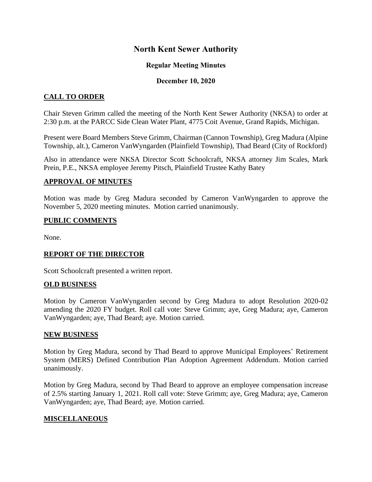# **North Kent Sewer Authority**

### **Regular Meeting Minutes**

#### **December 10, 2020**

# **CALL TO ORDER**

Chair Steven Grimm called the meeting of the North Kent Sewer Authority (NKSA) to order at 2:30 p.m. at the PARCC Side Clean Water Plant, 4775 Coit Avenue, Grand Rapids, Michigan.

Present were Board Members Steve Grimm, Chairman (Cannon Township), Greg Madura (Alpine Township, alt.), Cameron VanWyngarden (Plainfield Township), Thad Beard (City of Rockford)

Also in attendance were NKSA Director Scott Schoolcraft, NKSA attorney Jim Scales, Mark Prein, P.E., NKSA employee Jeremy Pitsch, Plainfield Trustee Kathy Batey

#### **APPROVAL OF MINUTES**

Motion was made by Greg Madura seconded by Cameron VanWyngarden to approve the November 5, 2020 meeting minutes. Motion carried unanimously.

#### **PUBLIC COMMENTS**

None.

## **REPORT OF THE DIRECTOR**

Scott Schoolcraft presented a written report.

#### **OLD BUSINESS**

Motion by Cameron VanWyngarden second by Greg Madura to adopt Resolution 2020-02 amending the 2020 FY budget. Roll call vote: Steve Grimm; aye, Greg Madura; aye, Cameron VanWyngarden; aye, Thad Beard; aye. Motion carried.

#### **NEW BUSINESS**

Motion by Greg Madura, second by Thad Beard to approve Municipal Employees' Retirement System (MERS) Defined Contribution Plan Adoption Agreement Addendum. Motion carried unanimously.

Motion by Greg Madura, second by Thad Beard to approve an employee compensation increase of 2.5% starting January 1, 2021. Roll call vote: Steve Grimm; aye, Greg Madura; aye, Cameron VanWyngarden; aye, Thad Beard; aye. Motion carried.

## **MISCELLANEOUS**